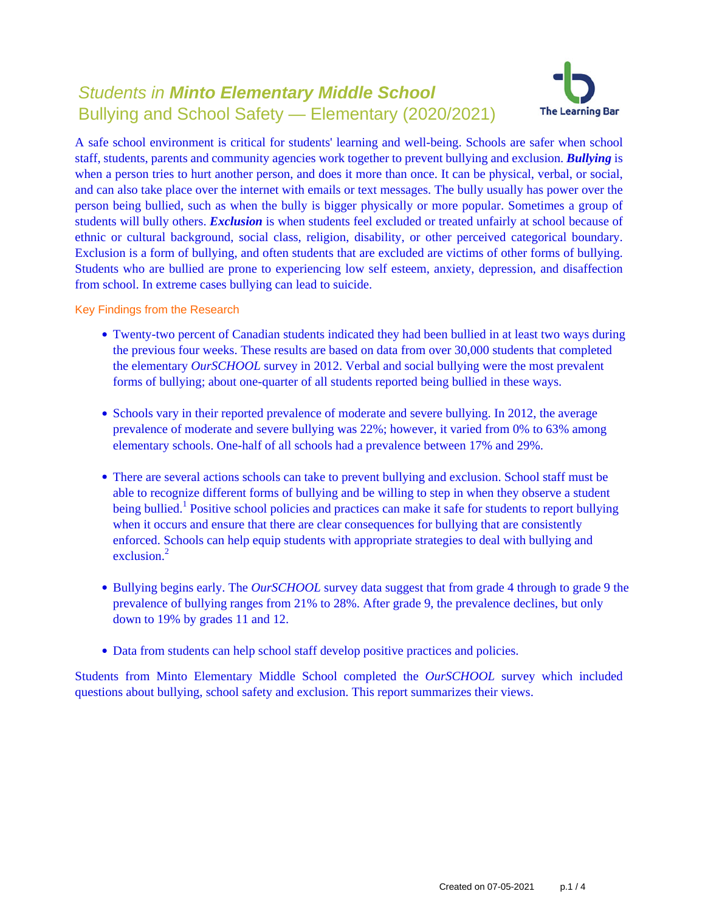# Students in **Minto Elementary Middle School** Bullying and School Safety — Elementary (2020/2021)



A safe school environment is critical for students' learning and well-being. Schools are safer when school staff, students, parents and community agencies work together to prevent bullying and exclusion. *Bullying* is when a person tries to hurt another person, and does it more than once. It can be physical, verbal, or social, and can also take place over the internet with emails or text messages. The bully usually has power over the person being bullied, such as when the bully is bigger physically or more popular. Sometimes a group of students will bully others. *Exclusion* is when students feel excluded or treated unfairly at school because of ethnic or cultural background, social class, religion, disability, or other perceived categorical boundary. Exclusion is a form of bullying, and often students that are excluded are victims of other forms of bullying. Students who are bullied are prone to experiencing low self esteem, anxiety, depression, and disaffection from school. In extreme cases bullying can lead to suicide.

Key Findings from the Research

- Twenty-two percent of Canadian students indicated they had been bullied in at least two ways during the previous four weeks. These results are based on data from over 30,000 students that completed the elementary *OurSCHOOL* survey in 2012. Verbal and social bullying were the most prevalent forms of bullying; about one-quarter of all students reported being bullied in these ways.
- Schools vary in their reported prevalence of moderate and severe bullying. In 2012, the average prevalence of moderate and severe bullying was 22%; however, it varied from 0% to 63% among elementary schools. One-half of all schools had a prevalence between 17% and 29%.
- There are several actions schools can take to prevent bullying and exclusion. School staff must be able to recognize different forms of bullying and be willing to step in when they observe a student being bullied.<sup>1</sup> Positive school policies and practices can make it safe for students to report bullying when it occurs and ensure that there are clear consequences for bullying that are consistently enforced. Schools can help equip students with appropriate strategies to deal with bullying and exclusion $^2$
- Bullying begins early. The *OurSCHOOL* survey data suggest that from grade 4 through to grade 9 the prevalence of bullying ranges from 21% to 28%. After grade 9, the prevalence declines, but only down to 19% by grades 11 and 12.
- Data from students can help school staff develop positive practices and policies.

Students from Minto Elementary Middle School completed the *OurSCHOOL* survey which included questions about bullying, school safety and exclusion. This report summarizes their views.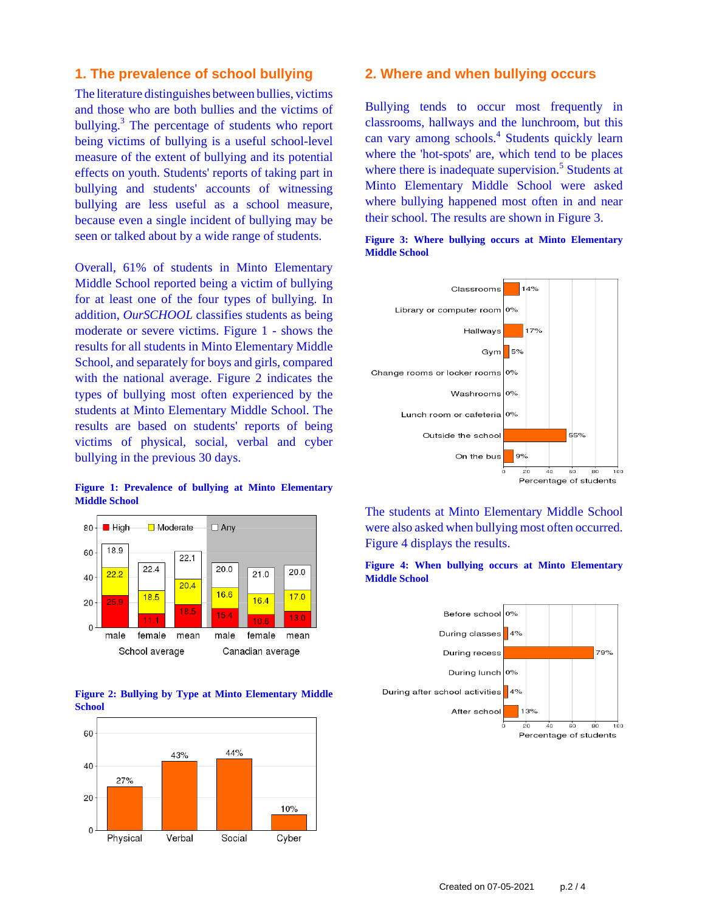## **1. The prevalence of school bullying**

The literature distinguishes between bullies, victims and those who are both bullies and the victims of bullying.<sup>3</sup> The percentage of students who report being victims of bullying is a useful school-level measure of the extent of bullying and its potential effects on youth. Students' reports of taking part in bullying and students' accounts of witnessing bullying are less useful as a school measure, because even a single incident of bullying may be seen or talked about by a wide range of students.

Overall, 61% of students in Minto Elementary Middle School reported being a victim of bullying for at least one of the four types of bullying. In addition, *OurSCHOOL* classifies students as being moderate or severe victims. Figure 1 - shows the results for all students in Minto Elementary Middle School, and separately for boys and girls, compared with the national average. Figure 2 indicates the types of bullying most often experienced by the students at Minto Elementary Middle School. The results are based on students' reports of being victims of physical, social, verbal and cyber bullying in the previous 30 days.

#### **Figure 1: Prevalence of bullying at Minto Elementary Middle School**







### **2. Where and when bullying occurs**

Bullying tends to occur most frequently in classrooms, hallways and the lunchroom, but this can vary among schools.<sup>4</sup> Students quickly learn where the 'hot-spots' are, which tend to be places where there is inadequate supervision.<sup>5</sup> Students at Minto Elementary Middle School were asked where bullying happened most often in and near their school. The results are shown in Figure 3.

**Figure 3: Where bullying occurs at Minto Elementary**

**Middle School**



The students at Minto Elementary Middle School were also asked when bullying most often occurred. Figure 4 displays the results.



**Figure 4: When bullying occurs at Minto Elementary Middle School**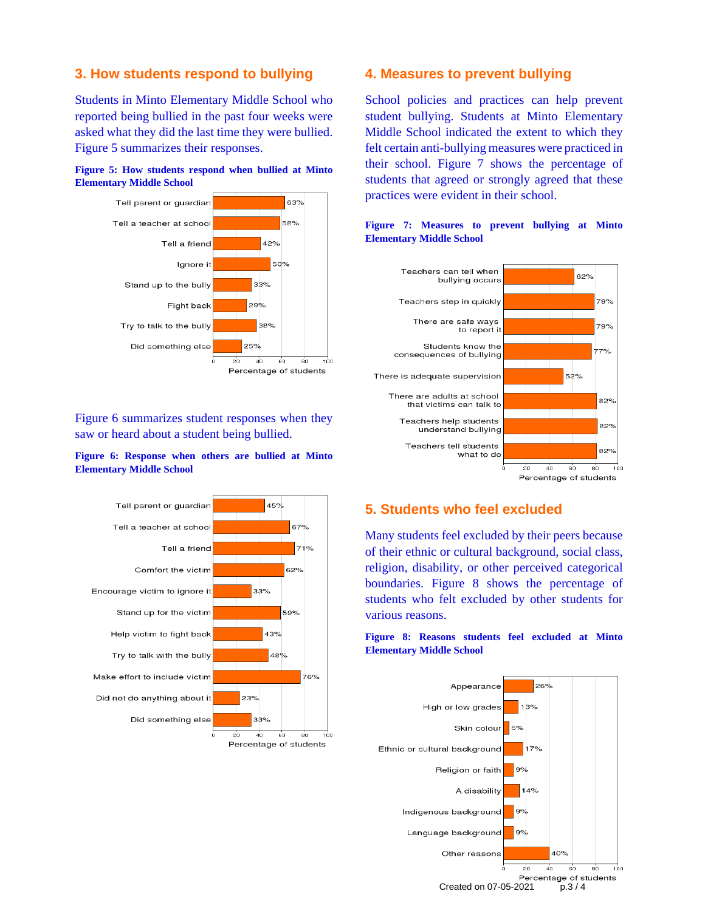# **3. How students respond to bullying**

Students in Minto Elementary Middle School who reported being bullied in the past four weeks were asked what they did the last time they were bullied. Figure 5 summarizes their responses.





Figure 6 summarizes student responses when they saw or heard about a student being bullied.

### **Figure 6: Response when others are bullied at Minto Elementary Middle School**



### **4. Measures to prevent bullying**

School policies and practices can help prevent student bullying. Students at Minto Elementary Middle School indicated the extent to which they felt certain anti-bullying measures were practiced in their school. Figure 7 shows the percentage of students that agreed or strongly agreed that these practices were evident in their school.



### **Figure 7: Measures to prevent bullying at Minto Elementary Middle School**

# **5. Students who feel excluded**

Many students feel excluded by their peers because of their ethnic or cultural background, social class, religion, disability, or other perceived categorical boundaries. Figure 8 shows the percentage of students who felt excluded by other students for various reasons.

### **Figure 8: Reasons students feel excluded at Minto Elementary Middle School**